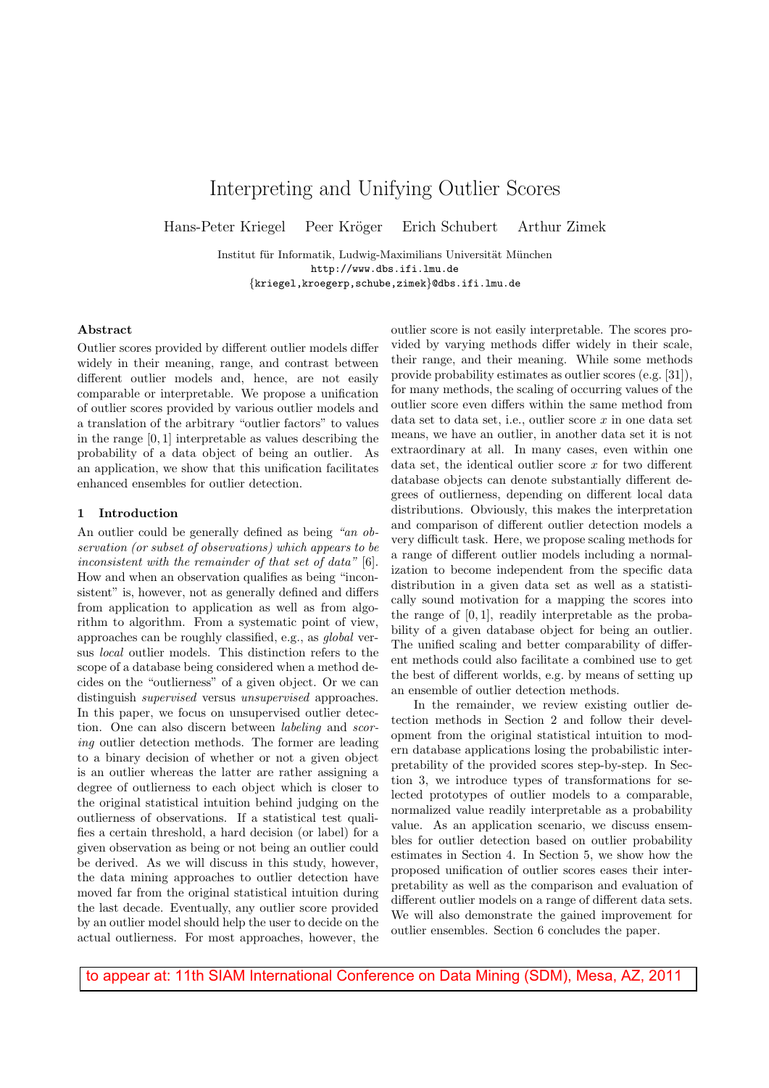# Interpreting and Unifying Outlier Scores

Hans-Peter Krieger Peter Krieger Erich Schubert Arthur Zimekr

Institut für Informatik, Ludwig-Maximilians Universität München http://www.dbs.ifi.lmu.de {kriegel,kroegerp,schube,zimek}@dbs.ifi.lmu.de

#### **Abstract**

Outlier scores provided by different outlier models differ widely in their meaning, range, and contrast between different outlier models and, hence, are not easily comparable or interpretable. We propose a unification of outlier scores provided by various outlier models and a translation of the arbitrary "outlier factors" to values in the range [0, 1] interpretable as values describing the probability of a data object of being an outlier. As an application, we show that this unification facilitates enhanced ensembles for outlier detection.

#### **1 Introduction**

An outlier could be generally defined as being "an observation (or subset of observations) which appears to be inconsistent with the remainder of that set of data" [6]. How and when an observation qualifies as being "inconsistent" is, however, not as generally defined and differs from application to application as well as from algorithm to algorithm. From a systematic point of view, approaches can be roughly classified, e.g., as global versus local outlier models. This distinction refers to the scope of a database being considered when a method decides on the "outlierness" of a given object. Or we can distinguish supervised versus unsupervised approaches. In this paper, we focus on unsupervised outlier detection. One can also discern between labeling and scoring outlier detection methods. The former are leading to a binary decision of whether or not a given object is an outlier whereas the latter are rather assigning a degree of outlierness to each object which is closer to the original statistical intuition behind judging on the outlierness of observations. If a statistical test qualifies a certain threshold, a hard decision (or label) for a given observation as being or not being an outlier could be derived. As we will discuss in this study, however, the data mining approaches to outlier detection have moved far from the original statistical intuition during the last decade. Eventually, any outlier score provided by an outlier model should help the user to decide on the actual outlierness. For most approaches, however, the outlier score is not easily interpretable. The scores provided by varying methods differ widely in their scale, their range, and their meaning. While some methods provide probability estimates as outlier scores (e.g. [31]), for many methods, the scaling of occurring values of the outlier score even differs within the same method from data set to data set, i.e., outlier score  $x$  in one data set means, we have an outlier, in another data set it is not extraordinary at all. In many cases, even within one data set, the identical outlier score  $x$  for two different database objects can denote substantially different degrees of outlierness, depending on different local data distributions. Obviously, this makes the interpretation and comparison of different outlier detection models a very difficult task. Here, we propose scaling methods for a range of different outlier models including a normalization to become independent from the specific data distribution in a given data set as well as a statistically sound motivation for a mapping the scores into the range of  $[0, 1]$ , readily interpretable as the probability of a given database object for being an outlier. The unified scaling and better comparability of different methods could also facilitate a combined use to get the best of different worlds, e.g. by means of setting up an ensemble of outlier detection methods.

In the remainder, we review existing outlier detection methods in Section 2 and follow their development from the original statistical intuition to modern database applications losing the probabilistic interpretability of the provided scores step-by-step. In Section 3, we introduce types of transformations for selected prototypes of outlier models to a comparable, normalized value readily interpretable as a probability value. As an application scenario, we discuss ensembles for outlier detection based on outlier probability estimates in Section 4. In Section 5, we show how the proposed unification of outlier scores eases their interpretability as well as the comparison and evaluation of different outlier models on a range of different data sets. We will also demonstrate the gained improvement for outlier ensembles. Section 6 concludes the paper.

to appear at: 11th SIAM International Conference on Data Mining (SDM), Mesa, AZ, 2011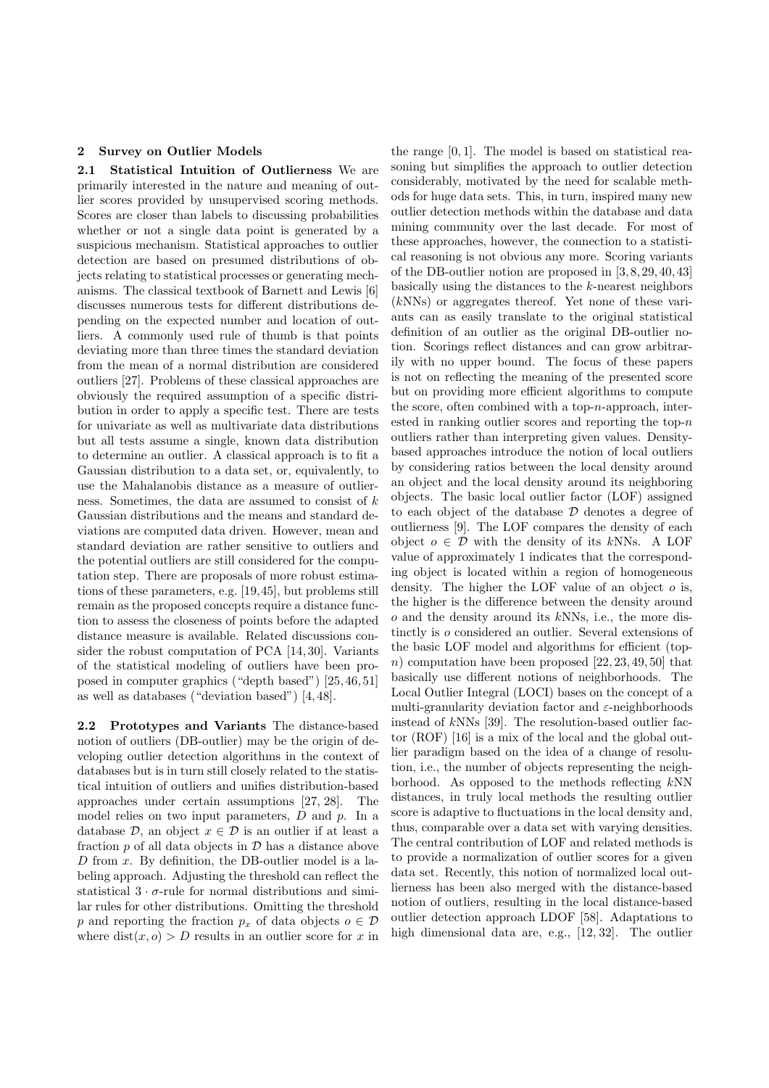# **2 Survey on Outlier Models**

**2.1 Statistical Intuition of Outlierness** We are primarily interested in the nature and meaning of outlier scores provided by unsupervised scoring methods. Scores are closer than labels to discussing probabilities whether or not a single data point is generated by a suspicious mechanism. Statistical approaches to outlier detection are based on presumed distributions of objects relating to statistical processes or generating mechanisms. The classical textbook of Barnett and Lewis [6] discusses numerous tests for different distributions depending on the expected number and location of outliers. A commonly used rule of thumb is that points deviating more than three times the standard deviation from the mean of a normal distribution are considered outliers [27]. Problems of these classical approaches are obviously the required assumption of a specific distribution in order to apply a specific test. There are tests for univariate as well as multivariate data distributions but all tests assume a single, known data distribution to determine an outlier. A classical approach is to fit a Gaussian distribution to a data set, or, equivalently, to use the Mahalanobis distance as a measure of outlierness. Sometimes, the data are assumed to consist of k Gaussian distributions and the means and standard deviations are computed data driven. However, mean and standard deviation are rather sensitive to outliers and the potential outliers are still considered for the computation step. There are proposals of more robust estimations of these parameters, e.g. [19,45], but problems still remain as the proposed concepts require a distance function to assess the closeness of points before the adapted distance measure is available. Related discussions consider the robust computation of PCA [14, 30]. Variants of the statistical modeling of outliers have been proposed in computer graphics ("depth based") [25, 46, 51] as well as databases ("deviation based") [4, 48].

**2.2 Prototypes and Variants** The distance-based notion of outliers (DB-outlier) may be the origin of developing outlier detection algorithms in the context of databases but is in turn still closely related to the statistical intuition of outliers and unifies distribution-based approaches under certain assumptions [27, 28]. The model relies on two input parameters, D and p. In a database  $\mathcal{D}$ , an object  $x \in \mathcal{D}$  is an outlier if at least a fraction  $p$  of all data objects in  $\mathcal D$  has a distance above D from x. By definition, the DB-outlier model is a labeling approach. Adjusting the threshold can reflect the statistical  $3 \cdot \sigma$ -rule for normal distributions and similar rules for other distributions. Omitting the threshold p and reporting the fraction  $p_x$  of data objects  $o \in \mathcal{D}$ where  $dist(x, o) > D$  results in an outlier score for x in

the range [0, 1]. The model is based on statistical reasoning but simplifies the approach to outlier detection considerably, motivated by the need for scalable methods for huge data sets. This, in turn, inspired many new outlier detection methods within the database and data mining community over the last decade. For most of these approaches, however, the connection to a statistical reasoning is not obvious any more. Scoring variants of the DB-outlier notion are proposed in [3, 8, 29, 40, 43] basically using the distances to the k-nearest neighbors (kNNs) or aggregates thereof. Yet none of these variants can as easily translate to the original statistical definition of an outlier as the original DB-outlier notion. Scorings reflect distances and can grow arbitrarily with no upper bound. The focus of these papers is not on reflecting the meaning of the presented score but on providing more efficient algorithms to compute the score, often combined with a top- $n$ -approach, interested in ranking outlier scores and reporting the top- $n$ outliers rather than interpreting given values. Densitybased approaches introduce the notion of local outliers by considering ratios between the local density around an object and the local density around its neighboring objects. The basic local outlier factor (LOF) assigned to each object of the database  $D$  denotes a degree of outlierness [9]. The LOF compares the density of each object  $o \in \mathcal{D}$  with the density of its kNNs. A LOF value of approximately 1 indicates that the corresponding object is located within a region of homogeneous density. The higher the LOF value of an object  $\sigma$  is, the higher is the difference between the density around  $o$  and the density around its  $kNNs$ , i.e., the more distinctly is o considered an outlier. Several extensions of the basic LOF model and algorithms for efficient (topn) computation have been proposed  $[22, 23, 49, 50]$  that basically use different notions of neighborhoods. The Local Outlier Integral (LOCI) bases on the concept of a multi-granularity deviation factor and  $\varepsilon$ -neighborhoods instead of kNNs [39]. The resolution-based outlier factor (ROF) [16] is a mix of the local and the global outlier paradigm based on the idea of a change of resolution, i.e., the number of objects representing the neighborhood. As opposed to the methods reflecting kNN distances, in truly local methods the resulting outlier score is adaptive to fluctuations in the local density and, thus, comparable over a data set with varying densities. The central contribution of LOF and related methods is to provide a normalization of outlier scores for a given data set. Recently, this notion of normalized local outlierness has been also merged with the distance-based notion of outliers, resulting in the local distance-based outlier detection approach LDOF [58]. Adaptations to high dimensional data are, e.g., [12, 32]. The outlier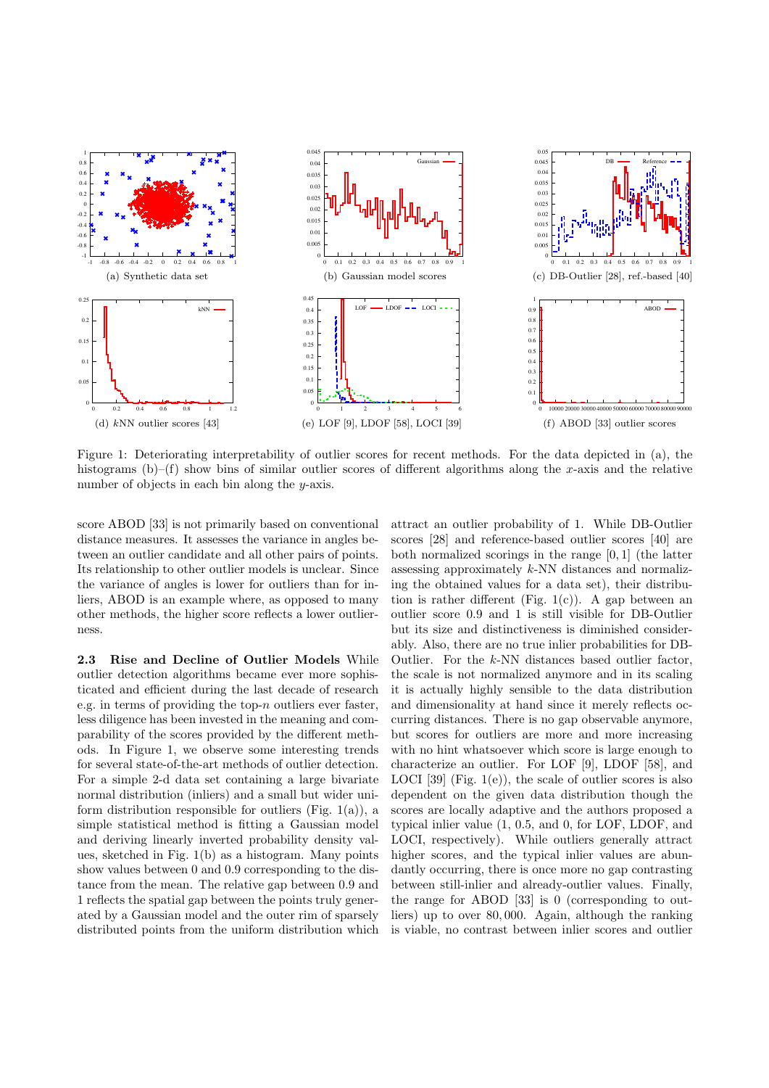

Figure 1: Deteriorating interpretability of outlier scores for recent methods. For the data depicted in (a), the histograms (b)–(f) show bins of similar outlier scores of different algorithms along the x-axis and the relative number of objects in each bin along the y-axis.

score ABOD [33] is not primarily based on conventional distance measures. It assesses the variance in angles between an outlier candidate and all other pairs of points. Its relationship to other outlier models is unclear. Since the variance of angles is lower for outliers than for inliers, ABOD is an example where, as opposed to many other methods, the higher score reflects a lower outlierness.

**2.3 Rise and Decline of Outlier Models** While outlier detection algorithms became ever more sophisticated and efficient during the last decade of research e.g. in terms of providing the top- $n$  outliers ever faster, less diligence has been invested in the meaning and comparability of the scores provided by the different methods. In Figure 1, we observe some interesting trends for several state-of-the-art methods of outlier detection. For a simple 2-d data set containing a large bivariate normal distribution (inliers) and a small but wider uniform distribution responsible for outliers (Fig.  $1(a)$ ), a simple statistical method is fitting a Gaussian model and deriving linearly inverted probability density values, sketched in Fig. 1(b) as a histogram. Many points show values between 0 and 0.9 corresponding to the distance from the mean. The relative gap between 0.9 and 1 reflects the spatial gap between the points truly generated by a Gaussian model and the outer rim of sparsely distributed points from the uniform distribution which attract an outlier probability of 1. While DB-Outlier scores [28] and reference-based outlier scores [40] are both normalized scorings in the range [0, 1] (the latter assessing approximately k-NN distances and normalizing the obtained values for a data set), their distribution is rather different (Fig.  $1(c)$ ). A gap between an outlier score 0.9 and 1 is still visible for DB-Outlier but its size and distinctiveness is diminished considerably. Also, there are no true inlier probabilities for DB-Outlier. For the k-NN distances based outlier factor, the scale is not normalized anymore and in its scaling it is actually highly sensible to the data distribution and dimensionality at hand since it merely reflects occurring distances. There is no gap observable anymore, but scores for outliers are more and more increasing with no hint whatsoever which score is large enough to characterize an outlier. For LOF [9], LDOF [58], and LOCI [39] (Fig.  $1(e)$ ), the scale of outlier scores is also dependent on the given data distribution though the scores are locally adaptive and the authors proposed a typical inlier value (1, 0.5, and 0, for LOF, LDOF, and LOCI, respectively). While outliers generally attract higher scores, and the typical inlier values are abundantly occurring, there is once more no gap contrasting between still-inlier and already-outlier values. Finally, the range for ABOD [33] is 0 (corresponding to outliers) up to over 80, 000. Again, although the ranking is viable, no contrast between inlier scores and outlier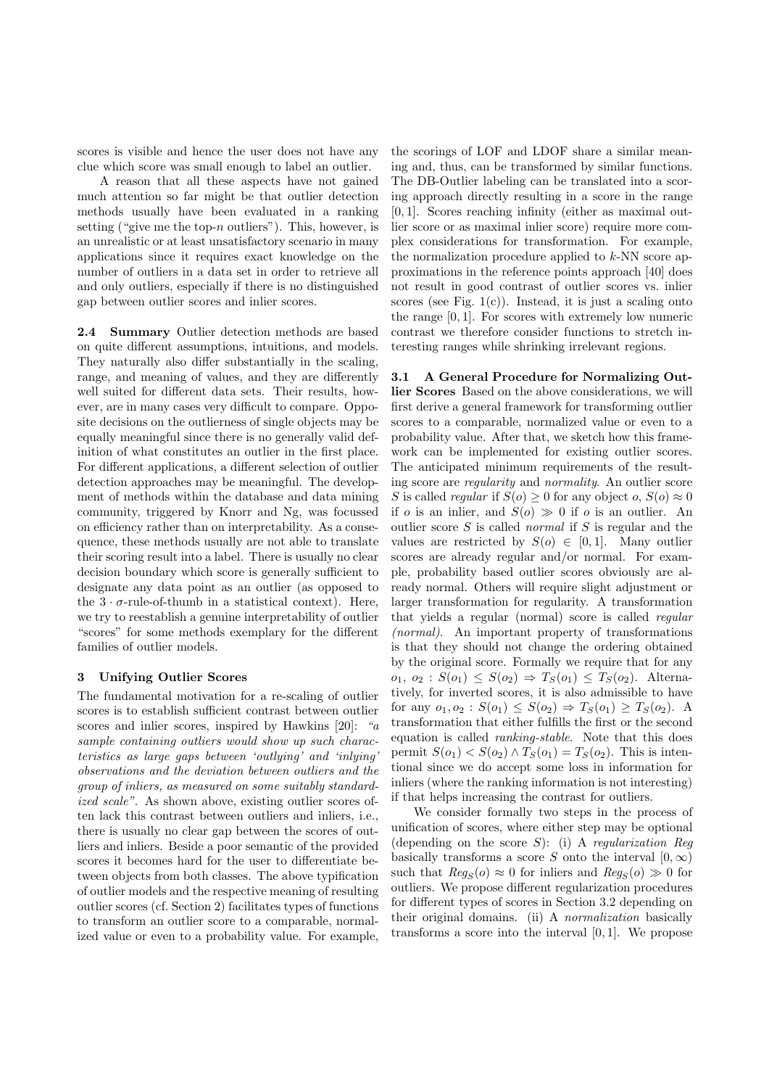scores is visible and hence the user does not have any clue which score was small enough to label an outlier.

A reason that all these aspects have not gained much attention so far might be that outlier detection methods usually have been evaluated in a ranking setting ("give me the top-n outliers"). This, however, is an unrealistic or at least unsatisfactory scenario in many applications since it requires exact knowledge on the number of outliers in a data set in order to retrieve all and only outliers, especially if there is no distinguished gap between outlier scores and inlier scores.

**2.4 Summary** Outlier detection methods are based on quite different assumptions, intuitions, and models. They naturally also differ substantially in the scaling, range, and meaning of values, and they are differently well suited for different data sets. Their results, however, are in many cases very difficult to compare. Opposite decisions on the outlierness of single objects may be equally meaningful since there is no generally valid definition of what constitutes an outlier in the first place. For different applications, a different selection of outlier detection approaches may be meaningful. The development of methods within the database and data mining community, triggered by Knorr and Ng, was focussed on efficiency rather than on interpretability. As a consequence, these methods usually are not able to translate their scoring result into a label. There is usually no clear decision boundary which score is generally sufficient to designate any data point as an outlier (as opposed to the  $3 \cdot \sigma$ -rule-of-thumb in a statistical context). Here, we try to reestablish a genuine interpretability of outlier "scores" for some methods exemplary for the different families of outlier models.

## **3 Unifying Outlier Scores**

The fundamental motivation for a re-scaling of outlier scores is to establish sufficient contrast between outlier scores and inlier scores, inspired by Hawkins [20]: "a sample containing outliers would show up such characteristics as large gaps between 'outlying' and 'inlying' observations and the deviation between outliers and the group of inliers, as measured on some suitably standardized scale". As shown above, existing outlier scores often lack this contrast between outliers and inliers, i.e., there is usually no clear gap between the scores of outliers and inliers. Beside a poor semantic of the provided scores it becomes hard for the user to differentiate between objects from both classes. The above typification of outlier models and the respective meaning of resulting outlier scores (cf. Section 2) facilitates types of functions to transform an outlier score to a comparable, normalized value or even to a probability value. For example,

the scorings of LOF and LDOF share a similar meaning and, thus, can be transformed by similar functions. The DB-Outlier labeling can be translated into a scoring approach directly resulting in a score in the range [0, 1]. Scores reaching infinity (either as maximal outlier score or as maximal inlier score) require more complex considerations for transformation. For example, the normalization procedure applied to  $k$ -NN score approximations in the reference points approach [40] does not result in good contrast of outlier scores vs. inlier scores (see Fig.  $1(c)$ ). Instead, it is just a scaling onto the range [0, 1]. For scores with extremely low numeric contrast we therefore consider functions to stretch interesting ranges while shrinking irrelevant regions.

**3.1 A General Procedure for Normalizing Outlier Scores** Based on the above considerations, we will first derive a general framework for transforming outlier scores to a comparable, normalized value or even to a probability value. After that, we sketch how this framework can be implemented for existing outlier scores. The anticipated minimum requirements of the resulting score are regularity and normality. An outlier score S is called *regular* if  $S(o) \ge 0$  for any object o,  $S(o) \approx 0$ if o is an inlier, and  $S(o) \gg 0$  if o is an outlier. An outlier score  $S$  is called *normal* if  $S$  is regular and the values are restricted by  $S(o) \in [0,1]$ . Many outlier scores are already regular and/or normal. For example, probability based outlier scores obviously are already normal. Others will require slight adjustment or larger transformation for regularity. A transformation that yields a regular (normal) score is called regular (normal). An important property of transformations is that they should not change the ordering obtained by the original score. Formally we require that for any  $o_1, o_2 : S(o_1) \leq S(o_2) \Rightarrow T_S(o_1) \leq T_S(o_2)$ . Alternatively, for inverted scores, it is also admissible to have for any  $o_1, o_2 : S(o_1) \leq S(o_2) \Rightarrow T_S(o_1) \geq T_S(o_2)$ . A transformation that either fulfills the first or the second equation is called ranking-stable. Note that this does permit  $S(o_1) < S(o_2) \wedge T_S(o_1) = T_S(o_2)$ . This is intentional since we do accept some loss in information for inliers (where the ranking information is not interesting) if that helps increasing the contrast for outliers.

We consider formally two steps in the process of unification of scores, where either step may be optional (depending on the score  $S$ ): (i) A *regularization Reg* basically transforms a score S onto the interval  $[0, \infty)$ such that  $Reg_S(o) \approx 0$  for inliers and  $Reg_S(o) \gg 0$  for outliers. We propose different regularization procedures for different types of scores in Section 3.2 depending on their original domains. (ii) A normalization basically transforms a score into the interval [0, 1]. We propose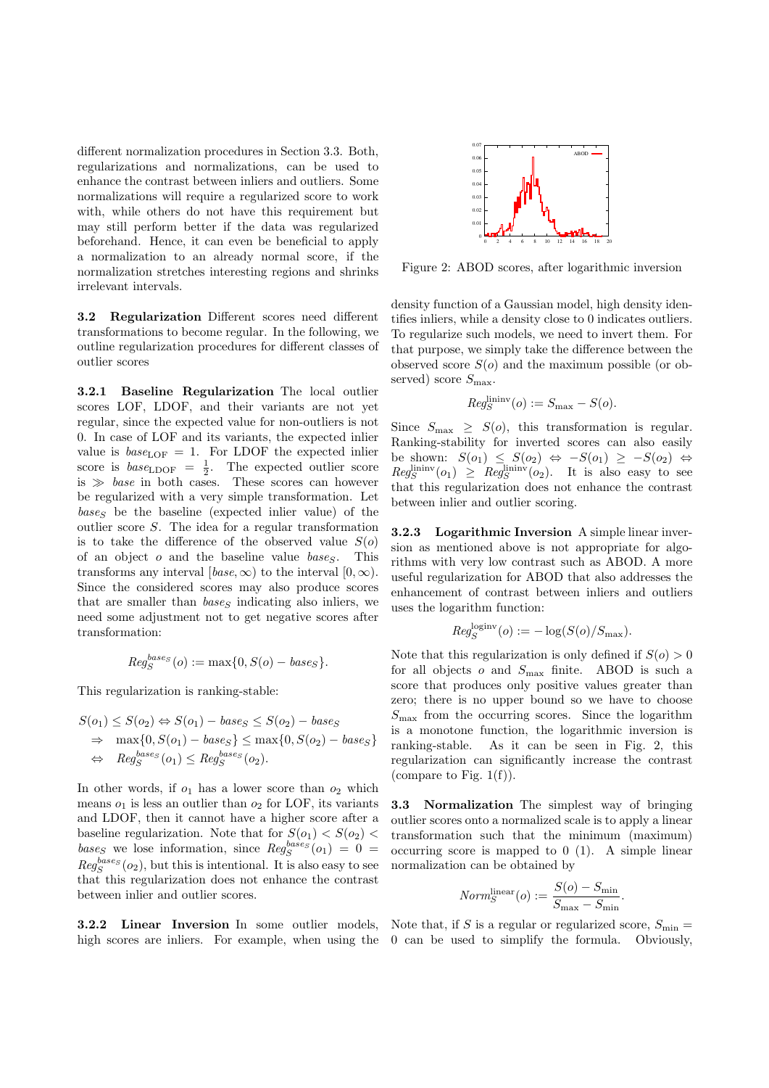different normalization procedures in Section 3.3. Both, regularizations and normalizations, can be used to enhance the contrast between inliers and outliers. Some normalizations will require a regularized score to work with, while others do not have this requirement but may still perform better if the data was regularized beforehand. Hence, it can even be beneficial to apply a normalization to an already normal score, if the normalization stretches interesting regions and shrinks irrelevant intervals.

**3.2 Regularization** Different scores need different transformations to become regular. In the following, we outline regularization procedures for different classes of outlier scores

**3.2.1 Baseline Regularization** The local outlier scores LOF, LDOF, and their variants are not yet regular, since the expected value for non-outliers is not 0. In case of LOF and its variants, the expected inlier value is  $base_{LOF} = 1$ . For LDOF the expected inlier score is  $base_{\text{LDOF}} = \frac{1}{2}$ . The expected outlier score is  $\gg$  base in both cases. These scores can however be regularized with a very simple transformation. Let  $base_S$  be the baseline (expected inlier value) of the outlier score S. The idea for a regular transformation is to take the difference of the observed value  $S(o)$ of an object  $o$  and the baseline value bases. This transforms any interval  $[base, \infty)$  to the interval  $[0, \infty)$ . Since the considered scores may also produce scores that are smaller than  $base_S$  indicating also inliers, we need some adjustment not to get negative scores after transformation:

$$
Reg_S^{base_S}(o) := \max\{0, S(o) - base_S\}.
$$

This regularization is ranking-stable:

$$
S(o_1) \leq S(o_2) \Leftrightarrow S(o_1) - bases \leq S(o_2) - bases
$$
  
\n
$$
\Rightarrow \max\{0, S(o_1) - base_S\} \leq \max\{0, S(o_2) - base_S\}
$$
  
\n
$$
\Leftrightarrow \text{Reg}_S^{base_S}(o_1) \leq \text{Reg}_S^{base_S}(o_2).
$$

In other words, if  $o_1$  has a lower score than  $o_2$  which means  $o_1$  is less an outlier than  $o_2$  for LOF, its variants and LDOF, then it cannot have a higher score after a baseline regularization. Note that for  $S(o_1) < S(o_2)$ bases we lose information, since  $Reg_S^{bases}(o_1)=0=$  $Reg_S^{bases}(o_2)$ , but this is intentional. It is also easy to see that this regularization does not enhance the contrast between inlier and outlier scores.

**3.2.2 Linear Inversion** In some outlier models, high scores are inliers. For example, when using the



Figure 2: ABOD scores, after logarithmic inversion

density function of a Gaussian model, high density identifies inliers, while a density close to 0 indicates outliers. To regularize such models, we need to invert them. For that purpose, we simply take the difference between the observed score  $S(o)$  and the maximum possible (or observed) score  $S_{\text{max}}$ .

$$
Reg_S^{\text{lininv}}(o) := S_{\text{max}} - S(o).
$$

Since  $S_{\text{max}} \geq S(o)$ , this transformation is regular. Ranking-stability for inverted scores can also easily be shown:  $S(o_1) \leq S(o_2) \Leftrightarrow -S(o_1) \geq -S(o_2) \Leftrightarrow$  $Reg_S^{\text{lininv}}(o_1) \geq Reg_S^{\text{lininv}}(o_2)$ . It is also easy to see that this regularization does not enhance the contrast between inlier and outlier scoring.

**3.2.3 Logarithmic Inversion** A simple linear inversion as mentioned above is not appropriate for algorithms with very low contrast such as ABOD. A more useful regularization for ABOD that also addresses the enhancement of contrast between inliers and outliers uses the logarithm function:

$$
Reg_S^{\text{loginv}}(o) := -\log(S(o)/S_{\text{max}}).
$$

Note that this regularization is only defined if  $S(o) > 0$ for all objects o and  $S_{\text{max}}$  finite. ABOD is such a score that produces only positive values greater than zero; there is no upper bound so we have to choose  $S_{\text{max}}$  from the occurring scores. Since the logarithm is a monotone function, the logarithmic inversion is ranking-stable. As it can be seen in Fig. 2, this regularization can significantly increase the contrast (compare to Fig.  $1(f)$ ).

**3.3 Normalization** The simplest way of bringing outlier scores onto a normalized scale is to apply a linear transformation such that the minimum (maximum) occurring score is mapped to 0 (1). A simple linear normalization can be obtained by

$$
Norm_S^{\text{linear}}(o) := \frac{S(o) - S_{\text{min}}}{S_{\text{max}} - S_{\text{min}}}.
$$

Note that, if S is a regular or regularized score,  $S_{\text{min}} =$ 0 can be used to simplify the formula. Obviously,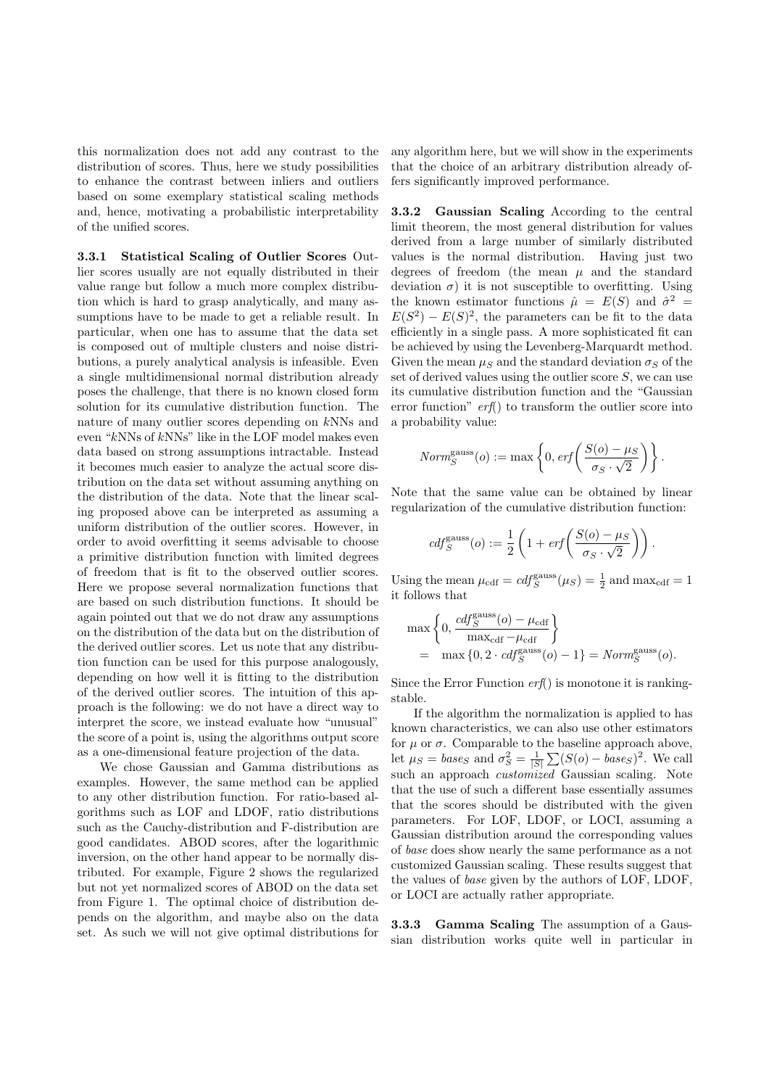this normalization does not add any contrast to the distribution of scores. Thus, here we study possibilities to enhance the contrast between inliers and outliers based on some exemplary statistical scaling methods and, hence, motivating a probabilistic interpretability of the unified scores.

**3.3.1 Statistical Scaling of Outlier Scores** Outlier scores usually are not equally distributed in their value range but follow a much more complex distribution which is hard to grasp analytically, and many assumptions have to be made to get a reliable result. In particular, when one has to assume that the data set is composed out of multiple clusters and noise distributions, a purely analytical analysis is infeasible. Even a single multidimensional normal distribution already poses the challenge, that there is no known closed form solution for its cumulative distribution function. The nature of many outlier scores depending on kNNs and even "kNNs of kNNs" like in the LOF model makes even data based on strong assumptions intractable. Instead it becomes much easier to analyze the actual score distribution on the data set without assuming anything on the distribution of the data. Note that the linear scaling proposed above can be interpreted as assuming a uniform distribution of the outlier scores. However, in order to avoid overfitting it seems advisable to choose a primitive distribution function with limited degrees of freedom that is fit to the observed outlier scores. Here we propose several normalization functions that are based on such distribution functions. It should be again pointed out that we do not draw any assumptions on the distribution of the data but on the distribution of the derived outlier scores. Let us note that any distribution function can be used for this purpose analogously, depending on how well it is fitting to the distribution of the derived outlier scores. The intuition of this approach is the following: we do not have a direct way to interpret the score, we instead evaluate how "unusual" the score of a point is, using the algorithms output score as a one-dimensional feature projection of the data.

We chose Gaussian and Gamma distributions as examples. However, the same method can be applied to any other distribution function. For ratio-based algorithms such as LOF and LDOF, ratio distributions such as the Cauchy-distribution and F-distribution are good candidates. ABOD scores, after the logarithmic inversion, on the other hand appear to be normally distributed. For example, Figure 2 shows the regularized but not yet normalized scores of ABOD on the data set from Figure 1. The optimal choice of distribution depends on the algorithm, and maybe also on the data set. As such we will not give optimal distributions for any algorithm here, but we will show in the experiments that the choice of an arbitrary distribution already offers significantly improved performance.

**3.3.2 Gaussian Scaling** According to the central limit theorem, the most general distribution for values derived from a large number of similarly distributed values is the normal distribution. Having just two degrees of freedom (the mean  $\mu$  and the standard deviation  $\sigma$ ) it is not susceptible to overfitting. Using the known estimator functions  $\hat{\mu} = E(S)$  and  $\hat{\sigma}^2 =$  $E(S^2) - E(S)^2$ , the parameters can be fit to the data efficiently in a single pass. A more sophisticated fit can be achieved by using the Levenberg-Marquardt method. Given the mean  $\mu_S$  and the standard deviation  $\sigma_S$  of the set of derived values using the outlier score  $S$ , we can use its cumulative distribution function and the "Gaussian error function"  $erf()$  to transform the outlier score into a probability value:

$$
Norm_S^{\text{gauss}}(o) := \max\left\{0, erf\left(\frac{S(o) - \mu_S}{\sigma_S \cdot \sqrt{2}}\right)\right\}.
$$

Note that the same value can be obtained by linear regularization of the cumulative distribution function:

$$
cdf_S^{\text{gauss}}(o) := \frac{1}{2} \left( 1 + erf\left(\frac{S(o) - \mu_S}{\sigma_S \cdot \sqrt{2}}\right) \right).
$$

Using the mean  $\mu_{\text{cdf}} = \text{cdf}_{S}^{\text{gauss}}(\mu_{S}) = \frac{1}{2}$  and  $\max_{\text{cdf}} = 1$ it follows that

$$
\max\left\{0, \frac{cdf_S^{\text{gauss}}(o) - \mu_{\text{cdf}}}{\max_{\text{cdf}} - \mu_{\text{cdf}}}\right\}
$$
  
= 
$$
\max\left\{0, 2 \cdot cdf_S^{\text{gauss}}(o) - 1\right\} = Norm_S^{\text{gauss}}(o).
$$

Since the Error Function  $erf()$  is monotone it is rankingstable.

If the algorithm the normalization is applied to has known characteristics, we can also use other estimators for  $\mu$  or  $\sigma.$  Comparable to the baseline approach above, let  $\mu_S = \text{base}_S$  and  $\sigma_S^2 = \frac{1}{|S|} \sum_{S} (S(o) - \text{base}_S)^2$ . We call such an approach customized Gaussian scaling. Note that the use of such a different base essentially assumes that the scores should be distributed with the given parameters. For LOF, LDOF, or LOCI, assuming a Gaussian distribution around the corresponding values of base does show nearly the same performance as a not customized Gaussian scaling. These results suggest that the values of base given by the authors of LOF, LDOF, or LOCI are actually rather appropriate.

**3.3.3 Gamma Scaling** The assumption of a Gaussian distribution works quite well in particular in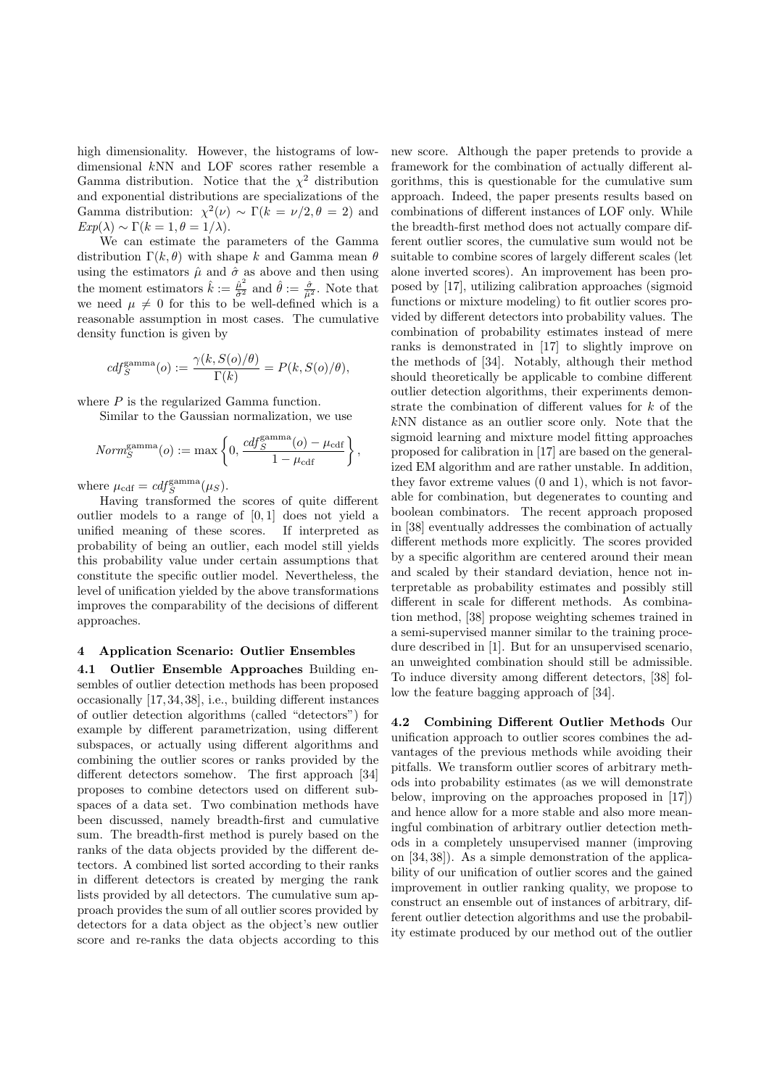high dimensionality. However, the histograms of lowdimensional kNN and LOF scores rather resemble a Gamma distribution. Notice that the  $\chi^2$  distribution and exponential distributions are specializations of the Gamma distribution:  $\chi^2(\nu) \sim \Gamma(k = \nu/2, \theta = 2)$  and  $Exp(\lambda) \sim \Gamma(k = 1, \theta = 1/\lambda).$ 

We can estimate the parameters of the Gamma distribution  $\Gamma(k, \theta)$  with shape k and Gamma mean  $\theta$ using the estimators  $\hat{\mu}$  and  $\hat{\sigma}$  as above and then using the moment estimators  $\hat{k} := \frac{\hat{\mu}^2}{\hat{\sigma}^2}$  and  $\hat{\theta} := \frac{\hat{\sigma}}{\hat{\mu}^2}$ . Note that we need  $\mu \neq 0$  for this to be well-defined which is a reasonable assumption in most cases. The cumulative density function is given by

$$
cdf_S^{\text{gamma}}(o) := \frac{\gamma(k, S(o)/\theta)}{\Gamma(k)} = P(k, S(o)/\theta),
$$

where  $P$  is the regularized Gamma function.

Similar to the Gaussian normalization, we use

$$
Norm_S^{\text{gamma}}(o) := \max\left\{0, \frac{cdf_S^{\text{gamma}}(o) - \mu_{\text{cdf}}}{1 - \mu_{\text{cdf}}}\right\},\,
$$

where  $\mu_{\text{cdf}} = \text{cdf}_{S}^{\text{gamma}}(\mu_{S}).$ 

Having transformed the scores of quite different outlier models to a range of [0, 1] does not yield a unified meaning of these scores. If interpreted as probability of being an outlier, each model still yields this probability value under certain assumptions that constitute the specific outlier model. Nevertheless, the level of unification yielded by the above transformations improves the comparability of the decisions of different approaches.

#### **4 Application Scenario: Outlier Ensembles**

**4.1 Outlier Ensemble Approaches** Building ensembles of outlier detection methods has been proposed occasionally [17, 34, 38], i.e., building different instances of outlier detection algorithms (called "detectors") for example by different parametrization, using different subspaces, or actually using different algorithms and combining the outlier scores or ranks provided by the different detectors somehow. The first approach [34] proposes to combine detectors used on different subspaces of a data set. Two combination methods have been discussed, namely breadth-first and cumulative sum. The breadth-first method is purely based on the ranks of the data objects provided by the different detectors. A combined list sorted according to their ranks in different detectors is created by merging the rank lists provided by all detectors. The cumulative sum approach provides the sum of all outlier scores provided by detectors for a data object as the object's new outlier score and re-ranks the data objects according to this new score. Although the paper pretends to provide a framework for the combination of actually different algorithms, this is questionable for the cumulative sum approach. Indeed, the paper presents results based on combinations of different instances of LOF only. While the breadth-first method does not actually compare different outlier scores, the cumulative sum would not be suitable to combine scores of largely different scales (let alone inverted scores). An improvement has been proposed by [17], utilizing calibration approaches (sigmoid functions or mixture modeling) to fit outlier scores provided by different detectors into probability values. The combination of probability estimates instead of mere ranks is demonstrated in [17] to slightly improve on the methods of [34]. Notably, although their method should theoretically be applicable to combine different outlier detection algorithms, their experiments demonstrate the combination of different values for k of the kNN distance as an outlier score only. Note that the sigmoid learning and mixture model fitting approaches proposed for calibration in [17] are based on the generalized EM algorithm and are rather unstable. In addition, they favor extreme values (0 and 1), which is not favorable for combination, but degenerates to counting and boolean combinators. The recent approach proposed in [38] eventually addresses the combination of actually different methods more explicitly. The scores provided by a specific algorithm are centered around their mean and scaled by their standard deviation, hence not interpretable as probability estimates and possibly still different in scale for different methods. As combination method, [38] propose weighting schemes trained in a semi-supervised manner similar to the training procedure described in [1]. But for an unsupervised scenario, an unweighted combination should still be admissible. To induce diversity among different detectors, [38] follow the feature bagging approach of [34].

**4.2 Combining Different Outlier Methods** Our unification approach to outlier scores combines the advantages of the previous methods while avoiding their pitfalls. We transform outlier scores of arbitrary methods into probability estimates (as we will demonstrate below, improving on the approaches proposed in [17]) and hence allow for a more stable and also more meaningful combination of arbitrary outlier detection methods in a completely unsupervised manner (improving on [34, 38]). As a simple demonstration of the applicability of our unification of outlier scores and the gained improvement in outlier ranking quality, we propose to construct an ensemble out of instances of arbitrary, different outlier detection algorithms and use the probability estimate produced by our method out of the outlier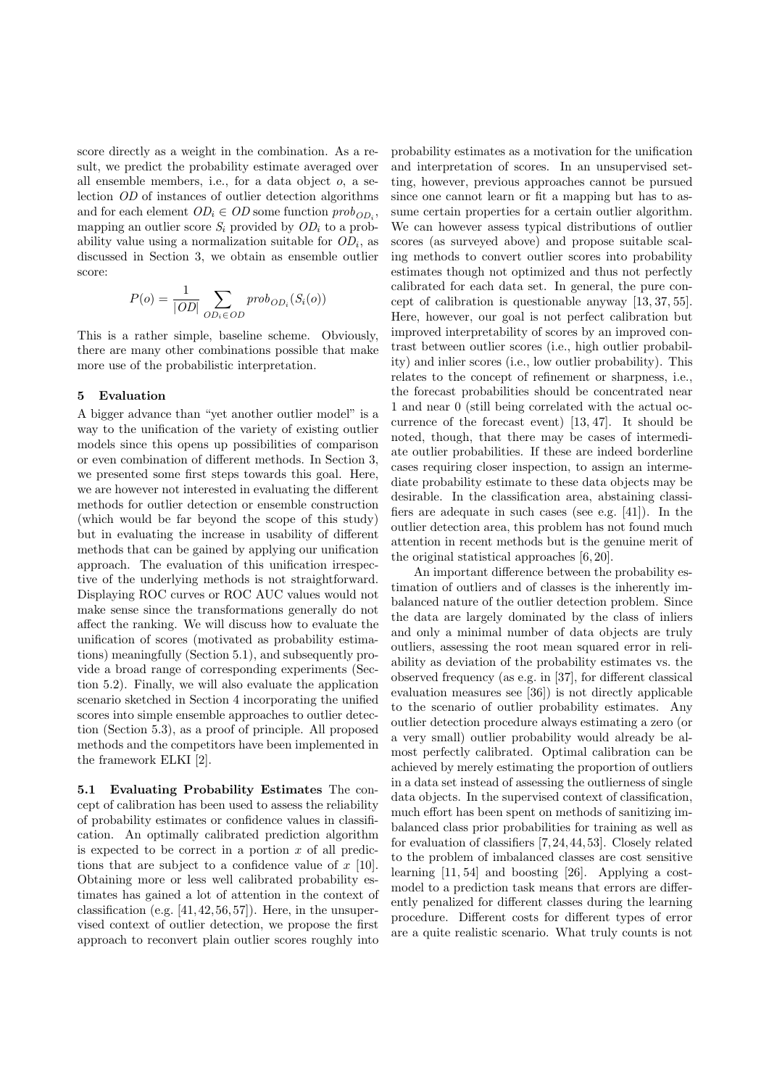score directly as a weight in the combination. As a result, we predict the probability estimate averaged over all ensemble members, i.e., for a data object  $o$ , a selection OD of instances of outlier detection algorithms and for each element  $OD_i \in OD$  some function  $prob_{OD_i}$ , mapping an outlier score  $S_i$  provided by  $OD_i$  to a probability value using a normalization suitable for  $OD<sub>i</sub>$ , as discussed in Section 3, we obtain as ensemble outlier score:

$$
P(o) = \frac{1}{|OD|} \sum_{OD_i \in OD} prob_{OD_i}(S_i(o))
$$

This is a rather simple, baseline scheme. Obviously, there are many other combinations possible that make more use of the probabilistic interpretation.

## **5 Evaluation**

A bigger advance than "yet another outlier model" is a way to the unification of the variety of existing outlier models since this opens up possibilities of comparison or even combination of different methods. In Section 3, we presented some first steps towards this goal. Here, we are however not interested in evaluating the different methods for outlier detection or ensemble construction (which would be far beyond the scope of this study) but in evaluating the increase in usability of different methods that can be gained by applying our unification approach. The evaluation of this unification irrespective of the underlying methods is not straightforward. Displaying ROC curves or ROC AUC values would not make sense since the transformations generally do not affect the ranking. We will discuss how to evaluate the unification of scores (motivated as probability estimations) meaningfully (Section 5.1), and subsequently provide a broad range of corresponding experiments (Section 5.2). Finally, we will also evaluate the application scenario sketched in Section 4 incorporating the unified scores into simple ensemble approaches to outlier detection (Section 5.3), as a proof of principle. All proposed methods and the competitors have been implemented in the framework ELKI [2].

**5.1 Evaluating Probability Estimates** The concept of calibration has been used to assess the reliability of probability estimates or confidence values in classification. An optimally calibrated prediction algorithm is expected to be correct in a portion  $x$  of all predictions that are subject to a confidence value of  $x \, [10]$ . Obtaining more or less well calibrated probability estimates has gained a lot of attention in the context of classification (e.g.  $[41, 42, 56, 57]$ ). Here, in the unsupervised context of outlier detection, we propose the first approach to reconvert plain outlier scores roughly into probability estimates as a motivation for the unification and interpretation of scores. In an unsupervised setting, however, previous approaches cannot be pursued since one cannot learn or fit a mapping but has to assume certain properties for a certain outlier algorithm. We can however assess typical distributions of outlier scores (as surveyed above) and propose suitable scaling methods to convert outlier scores into probability estimates though not optimized and thus not perfectly calibrated for each data set. In general, the pure concept of calibration is questionable anyway [13, 37, 55]. Here, however, our goal is not perfect calibration but improved interpretability of scores by an improved contrast between outlier scores (i.e., high outlier probability) and inlier scores (i.e., low outlier probability). This relates to the concept of refinement or sharpness, i.e., the forecast probabilities should be concentrated near 1 and near 0 (still being correlated with the actual occurrence of the forecast event) [13, 47]. It should be noted, though, that there may be cases of intermediate outlier probabilities. If these are indeed borderline cases requiring closer inspection, to assign an intermediate probability estimate to these data objects may be desirable. In the classification area, abstaining classifiers are adequate in such cases (see e.g. [41]). In the outlier detection area, this problem has not found much attention in recent methods but is the genuine merit of the original statistical approaches [6, 20].

An important difference between the probability estimation of outliers and of classes is the inherently imbalanced nature of the outlier detection problem. Since the data are largely dominated by the class of inliers and only a minimal number of data objects are truly outliers, assessing the root mean squared error in reliability as deviation of the probability estimates vs. the observed frequency (as e.g. in [37], for different classical evaluation measures see [36]) is not directly applicable to the scenario of outlier probability estimates. Any outlier detection procedure always estimating a zero (or a very small) outlier probability would already be almost perfectly calibrated. Optimal calibration can be achieved by merely estimating the proportion of outliers in a data set instead of assessing the outlierness of single data objects. In the supervised context of classification, much effort has been spent on methods of sanitizing imbalanced class prior probabilities for training as well as for evaluation of classifiers [7, 24, 44, 53]. Closely related to the problem of imbalanced classes are cost sensitive learning [11, 54] and boosting [26]. Applying a costmodel to a prediction task means that errors are differently penalized for different classes during the learning procedure. Different costs for different types of error are a quite realistic scenario. What truly counts is not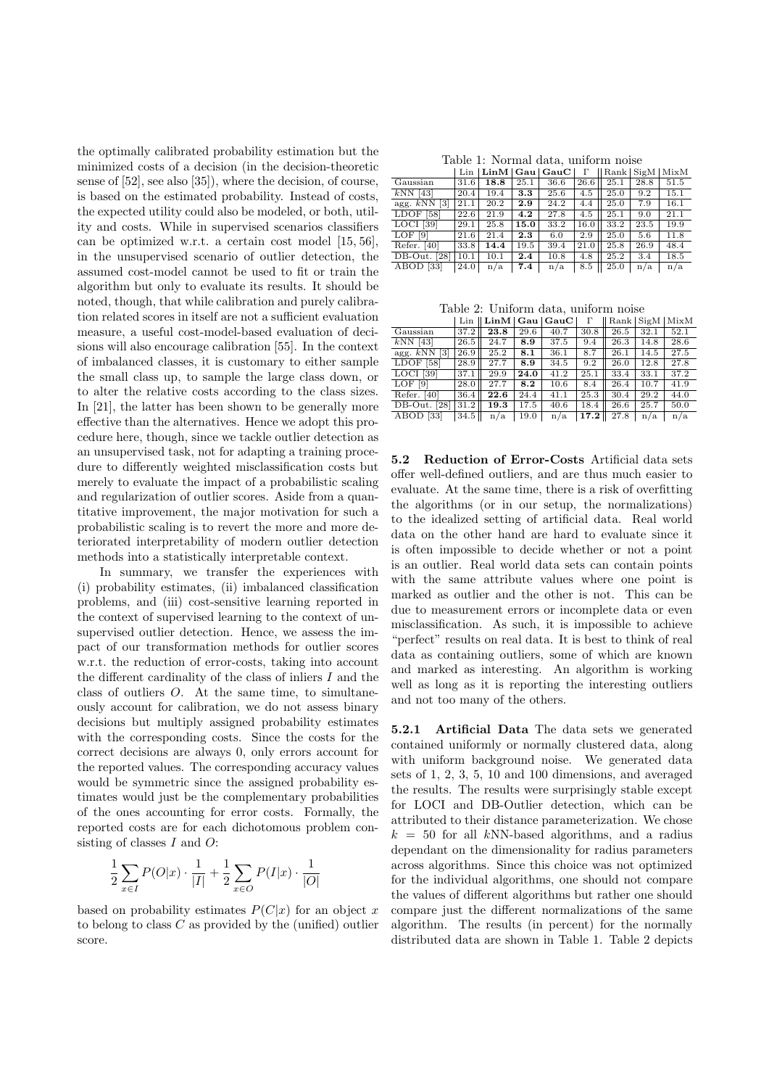the optimally calibrated probability estimation but the minimized costs of a decision (in the decision-theoretic sense of [52], see also [35]), where the decision, of course, is based on the estimated probability. Instead of costs, the expected utility could also be modeled, or both, utility and costs. While in supervised scenarios classifiers can be optimized w.r.t. a certain cost model [15, 56], in the unsupervised scenario of outlier detection, the assumed cost-model cannot be used to fit or train the algorithm but only to evaluate its results. It should be noted, though, that while calibration and purely calibration related scores in itself are not a sufficient evaluation measure, a useful cost-model-based evaluation of decisions will also encourage calibration [55]. In the context of imbalanced classes, it is customary to either sample the small class up, to sample the large class down, or to alter the relative costs according to the class sizes. In [21], the latter has been shown to be generally more effective than the alternatives. Hence we adopt this procedure here, though, since we tackle outlier detection as an unsupervised task, not for adapting a training procedure to differently weighted misclassification costs but merely to evaluate the impact of a probabilistic scaling and regularization of outlier scores. Aside from a quantitative improvement, the major motivation for such a probabilistic scaling is to revert the more and more deteriorated interpretability of modern outlier detection methods into a statistically interpretable context.

In summary, we transfer the experiences with (i) probability estimates, (ii) imbalanced classification problems, and (iii) cost-sensitive learning reported in the context of supervised learning to the context of unsupervised outlier detection. Hence, we assess the impact of our transformation methods for outlier scores w.r.t. the reduction of error-costs, taking into account the different cardinality of the class of inliers  $I$  and the class of outliers O. At the same time, to simultaneously account for calibration, we do not assess binary decisions but multiply assigned probability estimates with the corresponding costs. Since the costs for the correct decisions are always 0, only errors account for the reported values. The corresponding accuracy values would be symmetric since the assigned probability estimates would just be the complementary probabilities of the ones accounting for error costs. Formally, the reported costs are for each dichotomous problem consisting of classes  $I$  and  $O$ :

$$
\frac{1}{2} \sum_{x \in I} P(O|x) \cdot \frac{1}{|I|} + \frac{1}{2} \sum_{x \in O} P(I|x) \cdot \frac{1}{|O|}
$$

based on probability estimates  $P(C|x)$  for an object x to belong to class  $C$  as provided by the (unified) outlier score.

Table 1: Normal data, uniform noise

|                  |      |      |         | $Lin$   $LinM$   $Gau$   $GauC$ |      |      |      | Rank   SigM   MixM |
|------------------|------|------|---------|---------------------------------|------|------|------|--------------------|
| Gaussian         | 31.6 | 18.8 | 25.1    | 36.6                            | 26.6 | 25.1 | 28.8 | 51.5               |
| $kNN$ [43]       | 20.4 | 19.4 | 3.3     | 25.6                            | 4.5  | 25.0 | 9.2  | 15.1               |
| agg. $kNN$ [3]   | 21.1 | 20.2 | 2.9     | 24.2                            | 4.4  | 25.0 | 7.9  | 16.1               |
| $LDOF$ [58]      | 22.6 | 21.9 | 4.2     | 27.8                            | 4.5  | 25.1 | 9.0  | 21.1               |
| $LOGI$ [39]      | 29.1 | 25.8 | 15.0    | 33.2                            | 16.0 | 33.2 | 23.5 | 19.9               |
| $LOF$ [9]        | 21.6 | 21.4 | 2.3     | 6.0                             | 2.9  | 25.0 | 5.6  | 11.8               |
| Refer. $[40]$    | 33.8 | 14.4 | 19.5    | 39.4                            | 21.0 | 25.8 | 26.9 | 48.4               |
| $DB-Out.$ [28]   | 10.1 | 10.1 | $2.4\,$ | 10.8                            | 4.8  | 25.2 | 3.4  | 18.5               |
| <b>ABOD</b> [33] | 24.0 | n/a  | 7.4     | n/a                             | 8.5  | 25.0 | n/a  | n/a                |

Table 2: Uniform data, uniform noise

|                                |      |      |      | тарто в статегии аата, анногии попро                                            |      |      |      |                    |
|--------------------------------|------|------|------|---------------------------------------------------------------------------------|------|------|------|--------------------|
|                                |      |      |      | $\operatorname{Lin} \parallel$ LinM $ \operatorname{Gau} $ $\operatorname{Gau}$ |      |      |      | Rank   SigM   MixM |
| Gaussian                       | 37.2 | 23.8 | 29.6 | 40.7                                                                            | 30.8 | 26.5 | 32.1 | 52.1               |
| $kNN$ [43]                     | 26.5 | 24.7 | 8.9  | 37.5                                                                            | 9.4  | 26.3 | 14.8 | 28.6               |
| agg. $kNN$ [3]                 | 26.9 | 25.2 | 8.1  | 36.1                                                                            | 8.7  | 26.1 | 14.5 | 27.5               |
| LDOF<br>[58]                   | 28.9 | 27.7 | 8.9  | 34.5                                                                            | 9.2  | 26.0 | 12.8 | 27.8               |
| LOG [39]                       | 37.1 | 29.9 | 24.0 | 41.2                                                                            | 25.1 | 33.4 | 33.1 | 37.2               |
| $LOF$ [9]                      | 28.0 | 27.7 | 8.2  | 10.6                                                                            | 8.4  | 26.4 | 10.7 | 41.9               |
| Refer. $[40]$                  | 36.4 | 22.6 | 24.4 | 41.1                                                                            | 25.3 | 30.4 | 29.2 | 44.0               |
| $DB-Out.$<br>$\left[28\right]$ | 31.2 | 19.3 | 17.5 | 40.6                                                                            | 18.4 | 26.6 | 25.7 | 50.0               |
| ABOD <sup>[33]</sup>           | 34.5 | n/a  | 19.0 | n/a                                                                             | 17.2 | 27.8 | n/a  | n/a                |

**5.2 Reduction of Error-Costs** Artificial data sets offer well-defined outliers, and are thus much easier to evaluate. At the same time, there is a risk of overfitting the algorithms (or in our setup, the normalizations) to the idealized setting of artificial data. Real world data on the other hand are hard to evaluate since it is often impossible to decide whether or not a point is an outlier. Real world data sets can contain points with the same attribute values where one point is marked as outlier and the other is not. This can be due to measurement errors or incomplete data or even misclassification. As such, it is impossible to achieve "perfect" results on real data. It is best to think of real data as containing outliers, some of which are known and marked as interesting. An algorithm is working well as long as it is reporting the interesting outliers and not too many of the others.

**5.2.1 Artificial Data** The data sets we generated contained uniformly or normally clustered data, along with uniform background noise. We generated data sets of 1, 2, 3, 5, 10 and 100 dimensions, and averaged the results. The results were surprisingly stable except for LOCI and DB-Outlier detection, which can be attributed to their distance parameterization. We chose  $k = 50$  for all kNN-based algorithms, and a radius dependant on the dimensionality for radius parameters across algorithms. Since this choice was not optimized for the individual algorithms, one should not compare the values of different algorithms but rather one should compare just the different normalizations of the same algorithm. The results (in percent) for the normally distributed data are shown in Table 1. Table 2 depicts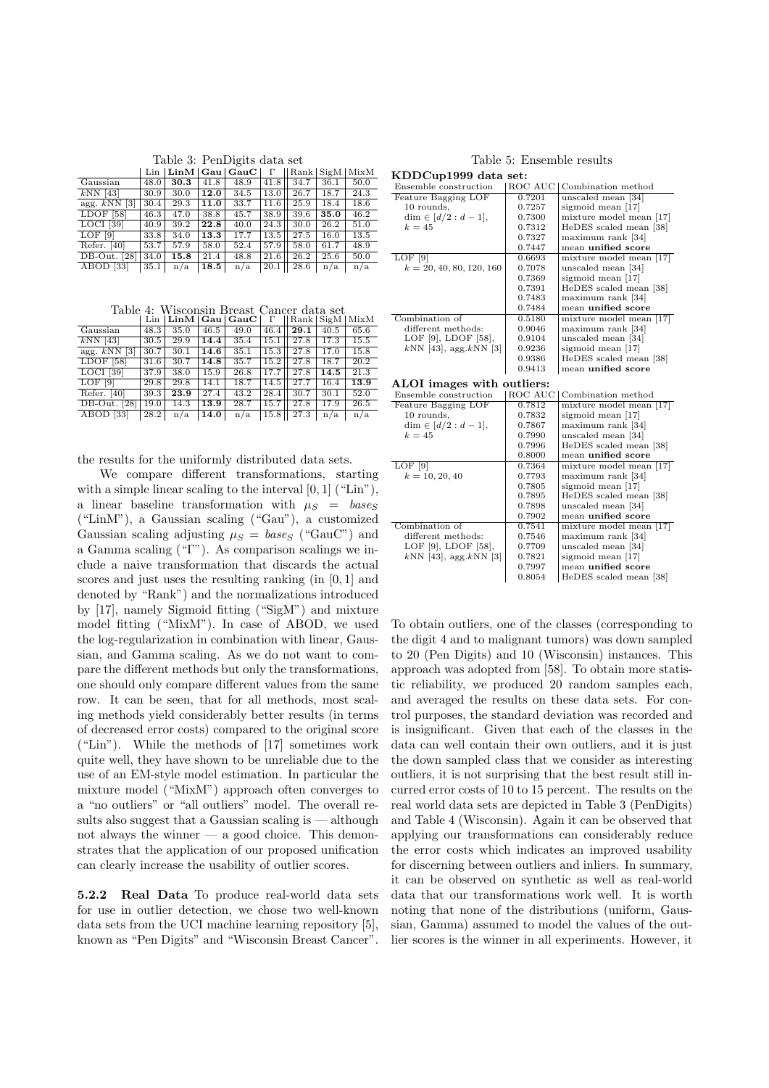Table 3: PenDigits data set

|                     |      |      |      | $Lin$   $LinM$   $Gau$   $GauC$ |      |      |          | Rank   SigM   MixM |
|---------------------|------|------|------|---------------------------------|------|------|----------|--------------------|
| Gaussian            | 48.0 | 30.3 | 41.8 | 48.9                            | 41.8 | 34.7 | 36.1     | 50.0               |
| kNN<br>[43]         | 30.9 | 30.0 | 12.0 | 34.5                            | 13.0 | 26.7 | 18.7     | 24.3               |
| agg. $kNN$ [3]      | 30.4 | 29.3 | 11.0 | 33.7                            | 11.6 | 25.9 | 18.4     | 18.6               |
| <b>LDOF</b><br>[58] | 46.3 | 47.0 | 38.8 | 45.7                            | 38.9 | 39.6 | 35.0     | 46.2               |
| <b>LOCI</b><br>[39] | 40.9 | 39.2 | 22.8 | 40.0                            | 24.3 | 30.0 | 26.2     | 51.0               |
| LOF<br>[9]          | 33.8 | 34.0 | 13.3 | 17.7                            | 13.5 | 27.5 | 16.0     | 13.5               |
| Refer.<br>[40]      | 53.7 | 57.9 | 58.0 | 52.4                            | 57.9 | 58.0 | 61.7     | 48.9               |
| $DB-Out.$<br>[28]   | 34.0 | 15.8 | 21.4 | 48.8                            | 21.6 | 26.2 | 25.6     | 50.0               |
| [33]<br>ABOD        | 35.1 | n/a  | 18.5 | n/a                             | 20.1 | 28.6 | 'a<br>n/ | n/a                |

Table 4: Wisconsin Breast Cancer data set<br>|Lin|**LinM**|Gau|GauC| Γ ||Rank|SigM|MixM

|                           | Lin               |      |      | LinM   Gau   GauC |      |      |      | Rank   SigM   MixM |
|---------------------------|-------------------|------|------|-------------------|------|------|------|--------------------|
| Gaussian                  | 48.3              | 35.0 | 46.5 | 49.0              | 46.4 | 29.1 | 40.5 | 65.6               |
| $kNN$ [43]                | 30.5              | 29.9 | 14.4 | 35.4              | 15.1 | 27.8 | 17.3 | 15.5               |
| agg. $kNN$ [3]            | 30.7              | 30.1 | 14.6 | 35.1              | 15.3 | 27.8 | 17.0 | 15.8               |
| $LDOF$ [58]               | 31.6              | 30.7 | 14.8 | 35.7              | 15.2 | 27.8 | 18.7 | 20.2               |
| $LOGI$ [39]               | $\overline{37.9}$ | 38.0 | 15.9 | 26.8              | 17.7 | 27.8 | 14.5 | 21.3               |
| LOF[9]                    | 29.8              | 29.8 | 14.1 | 18.7              | 14.5 | 27.7 | 16.4 | 13.9               |
| Refer. $[40]$             | 39.3              | 23.9 | 27.4 | 43.2              | 28.4 | 30.7 | 30.1 | 52.0               |
| $DB-Out.$ [28]            | 19.0              | 14.3 | 13.9 | 28.7              | 15.7 | 27.8 | 17.9 | 26.5               |
| $\left[33\right]$<br>ABOD | 28.2              | n/a  | 14.0 | n/a               | 15.8 | 27.3 | n/a  | n/a                |

the results for the uniformly distributed data sets.

We compare different transformations, starting with a simple linear scaling to the interval [0, 1] ("Lin"). a linear baseline transformation with  $\mu_S = \text{base}_S$ ("LinM"), a Gaussian scaling ("Gau"), a customized Gaussian scaling adjusting  $\mu_S = \text{base}_S$  ("GauC") and a Gamma scaling ("Γ"). As comparison scalings we include a naive transformation that discards the actual scores and just uses the resulting ranking (in [0, 1] and denoted by "Rank") and the normalizations introduced by [17], namely Sigmoid fitting ("SigM") and mixture model fitting ("MixM"). In case of ABOD, we used the log-regularization in combination with linear, Gaussian, and Gamma scaling. As we do not want to compare the different methods but only the transformations, one should only compare different values from the same row. It can be seen, that for all methods, most scaling methods yield considerably better results (in terms of decreased error costs) compared to the original score ("Lin"). While the methods of [17] sometimes work quite well, they have shown to be unreliable due to the use of an EM-style model estimation. In particular the mixture model ("MixM") approach often converges to a "no outliers" or "all outliers" model. The overall results also suggest that a Gaussian scaling is — although not always the winner  $-$  a good choice. This demonstrates that the application of our proposed unification can clearly increase the usability of outlier scores.

**5.2.2 Real Data** To produce real-world data sets for use in outlier detection, we chose two well-known data sets from the UCI machine learning repository [5], known as "Pen Digits" and "Wisconsin Breast Cancer".

Table 5: Ensemble results

| KDDCup1999 data set:                                |                  |                                              |
|-----------------------------------------------------|------------------|----------------------------------------------|
| Ensemble construction                               | ROC AUC          | Combination method                           |
| Feature Bagging LOF                                 | 0.7201           | unscaled mean [34]                           |
| 10 rounds,                                          | 0.7257           | sigmoid mean $[17]$                          |
| dim $\in$ [d/2 : d - 1],                            | 0.7300           | mixture model mean [17]                      |
| $k=45$                                              | 0.7312           | HeDES scaled mean [38]                       |
|                                                     | 0.7327           | maximum rank [34]                            |
|                                                     | 0.7447           | mean unified score                           |
| LOF[9]                                              | 0.6693           | mixture model mean [17]                      |
| $k = 20, 40, 80, 120, 160$                          | 0.7078           | unscaled mean [34]                           |
|                                                     | 0.7369           | sigmoid mean $[17]$                          |
|                                                     | 0.7391           | HeDES scaled mean [38]                       |
|                                                     | 0.7483           | maximum rank [34]                            |
|                                                     | 0.7484           | mean unified score                           |
| Combination of                                      | 0.5180           | mixture model mean [17]                      |
| different methods:                                  | 0.9046           | maximum rank [34]                            |
| LOF [9], LDOF [58],                                 | 0.9104           | unscaled mean [34]                           |
| $kNN$ [43], agg. $kNN$ [3]                          | 0.9236           | sigmoid mean [17]                            |
|                                                     | 0.9386           | HeDES scaled mean [38]                       |
|                                                     | 0.9413           | mean unified score                           |
|                                                     |                  |                                              |
|                                                     |                  |                                              |
| ALOI images with outliers:<br>Ensemble construction | ROC AUC          | Combination method                           |
|                                                     | 0.7812           |                                              |
| Feature Bagging LOF                                 | 0.7832           | mixture model mean $[17]$                    |
| 10 rounds,                                          | 0.7867           | sigmoid mean $[17]$                          |
| dim $\in$ [d/2 : d - 1],<br>$k=45$                  | 0.7990           | maximum rank [34]                            |
|                                                     | 0.7996           | unscaled mean [34]<br>HeDES scaled mean [38] |
|                                                     | 0.8000           | mean unified score                           |
| $\overline{\text{LOF}}$ [9]                         | 0.7364           | mixture model mean [17]                      |
| $k = 10, 20, 40$                                    | 0.7793           | maximum rank [34]                            |
|                                                     | 0.7805           | sigmoid mean $[17]$                          |
|                                                     | 0.7895           | HeDES scaled mean [38]                       |
|                                                     | 0.7898           | unscaled mean [34]                           |
|                                                     | 0.7902           | mean unified score                           |
| Combination of                                      | 0.7541           | mixture model mean [17]                      |
| different methods:                                  | 0.7546           | maximum rank [34]                            |
| LOF [9], LDOF [58],                                 | 0.7709           | unscaled mean [34]                           |
| $kNN$ [43], agg. $kNN$ [3]                          | 0.7821           | sigmoid mean [17]                            |
|                                                     | 0.7997<br>0.8054 | mean unified score<br>HeDES scaled mean [38] |

To obtain outliers, one of the classes (corresponding to the digit 4 and to malignant tumors) was down sampled to 20 (Pen Digits) and 10 (Wisconsin) instances. This approach was adopted from [58]. To obtain more statistic reliability, we produced 20 random samples each, and averaged the results on these data sets. For control purposes, the standard deviation was recorded and is insignificant. Given that each of the classes in the data can well contain their own outliers, and it is just the down sampled class that we consider as interesting outliers, it is not surprising that the best result still incurred error costs of 10 to 15 percent. The results on the real world data sets are depicted in Table 3 (PenDigits) and Table 4 (Wisconsin). Again it can be observed that applying our transformations can considerably reduce the error costs which indicates an improved usability for discerning between outliers and inliers. In summary, it can be observed on synthetic as well as real-world data that our transformations work well. It is worth noting that none of the distributions (uniform, Gaussian, Gamma) assumed to model the values of the outlier scores is the winner in all experiments. However, it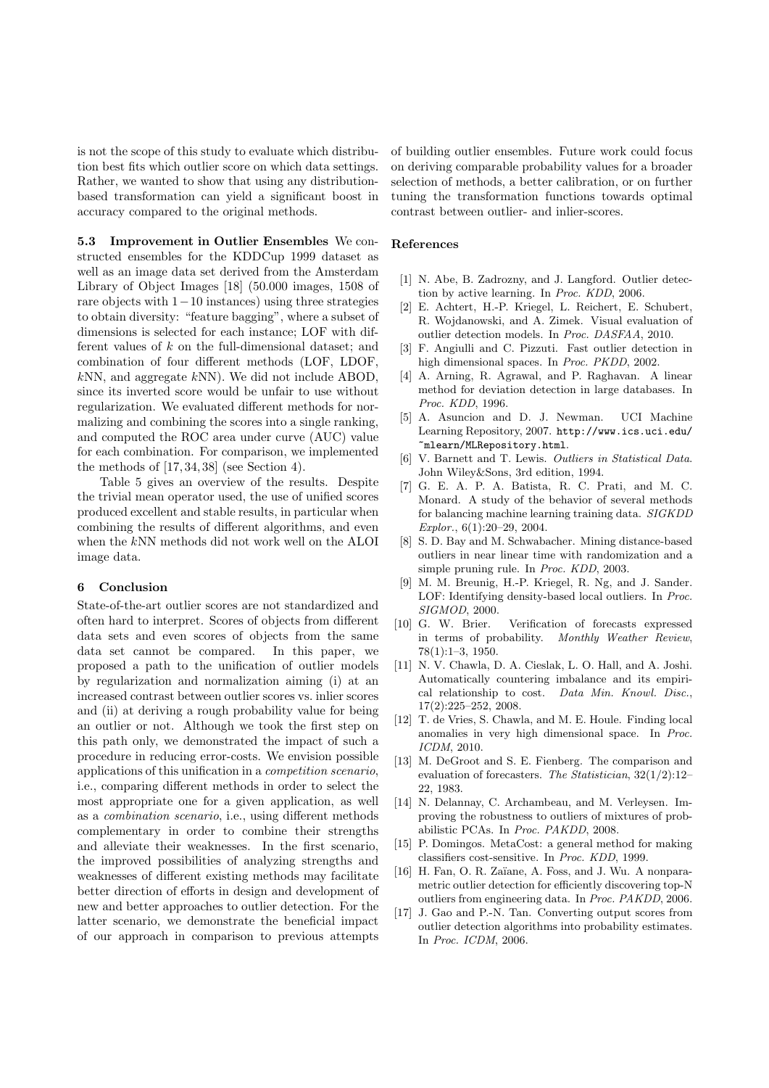is not the scope of this study to evaluate which distribution best fits which outlier score on which data settings. Rather, we wanted to show that using any distributionbased transformation can yield a significant boost in accuracy compared to the original methods.

**5.3 Improvement in Outlier Ensembles** We constructed ensembles for the KDDCup 1999 dataset as well as an image data set derived from the Amsterdam Library of Object Images [18] (50.000 images, 1508 of rare objects with 1−10 instances) using three strategies to obtain diversity: "feature bagging", where a subset of dimensions is selected for each instance; LOF with different values of k on the full-dimensional dataset; and combination of four different methods (LOF, LDOF,  $kNN$ , and aggregate  $kNN$ ). We did not include ABOD, since its inverted score would be unfair to use without regularization. We evaluated different methods for normalizing and combining the scores into a single ranking, and computed the ROC area under curve (AUC) value for each combination. For comparison, we implemented the methods of [17, 34, 38] (see Section 4).

Table 5 gives an overview of the results. Despite the trivial mean operator used, the use of unified scores produced excellent and stable results, in particular when combining the results of different algorithms, and even when the kNN methods did not work well on the ALOI image data.

## **6 Conclusion**

State-of-the-art outlier scores are not standardized and often hard to interpret. Scores of objects from different data sets and even scores of objects from the same data set cannot be compared. In this paper, we proposed a path to the unification of outlier models by regularization and normalization aiming (i) at an increased contrast between outlier scores vs. inlier scores and (ii) at deriving a rough probability value for being an outlier or not. Although we took the first step on this path only, we demonstrated the impact of such a procedure in reducing error-costs. We envision possible applications of this unification in a competition scenario, i.e., comparing different methods in order to select the most appropriate one for a given application, as well as a combination scenario, i.e., using different methods complementary in order to combine their strengths and alleviate their weaknesses. In the first scenario, the improved possibilities of analyzing strengths and weaknesses of different existing methods may facilitate better direction of efforts in design and development of new and better approaches to outlier detection. For the latter scenario, we demonstrate the beneficial impact of our approach in comparison to previous attempts of building outlier ensembles. Future work could focus on deriving comparable probability values for a broader selection of methods, a better calibration, or on further tuning the transformation functions towards optimal contrast between outlier- and inlier-scores.

#### **References**

- [1] N. Abe, B. Zadrozny, and J. Langford. Outlier detection by active learning. In Proc. KDD, 2006.
- [2] E. Achtert, H.-P. Kriegel, L. Reichert, E. Schubert, R. Wojdanowski, and A. Zimek. Visual evaluation of outlier detection models. In Proc. DASFAA, 2010.
- [3] F. Angiulli and C. Pizzuti. Fast outlier detection in high dimensional spaces. In Proc. PKDD, 2002.
- [4] A. Arning, R. Agrawal, and P. Raghavan. A linear method for deviation detection in large databases. In Proc. KDD, 1996.
- [5] A. Asuncion and D. J. Newman. UCI Machine Learning Repository, 2007. http://www.ics.uci.edu/ ~mlearn/MLRepository.html.
- [6] V. Barnett and T. Lewis. Outliers in Statistical Data. John Wiley&Sons, 3rd edition, 1994.
- [7] G. E. A. P. A. Batista, R. C. Prati, and M. C. Monard. A study of the behavior of several methods for balancing machine learning training data. SIGKDD Explor., 6(1):20–29, 2004.
- [8] S. D. Bay and M. Schwabacher. Mining distance-based outliers in near linear time with randomization and a simple pruning rule. In Proc. KDD, 2003.
- [9] M. M. Breunig, H.-P. Kriegel, R. Ng, and J. Sander. LOF: Identifying density-based local outliers. In Proc. SIGMOD, 2000.
- [10] G. W. Brier. Verification of forecasts expressed in terms of probability. Monthly Weather Review, 78(1):1–3, 1950.
- [11] N. V. Chawla, D. A. Cieslak, L. O. Hall, and A. Joshi. Automatically countering imbalance and its empirical relationship to cost. Data Min. Knowl. Disc., 17(2):225–252, 2008.
- [12] T. de Vries, S. Chawla, and M. E. Houle. Finding local anomalies in very high dimensional space. In Proc. ICDM, 2010.
- [13] M. DeGroot and S. E. Fienberg. The comparison and evaluation of forecasters. The Statistician, 32(1/2):12– 22, 1983.
- [14] N. Delannay, C. Archambeau, and M. Verleysen. Improving the robustness to outliers of mixtures of probabilistic PCAs. In Proc. PAKDD, 2008.
- [15] P. Domingos. MetaCost: a general method for making classifiers cost-sensitive. In Proc. KDD, 1999.
- [16] H. Fan, O. R. Zaïane, A. Foss, and J. Wu. A nonparametric outlier detection for efficiently discovering top-N outliers from engineering data. In Proc. PAKDD, 2006.
- [17] J. Gao and P.-N. Tan. Converting output scores from outlier detection algorithms into probability estimates. In Proc. ICDM, 2006.